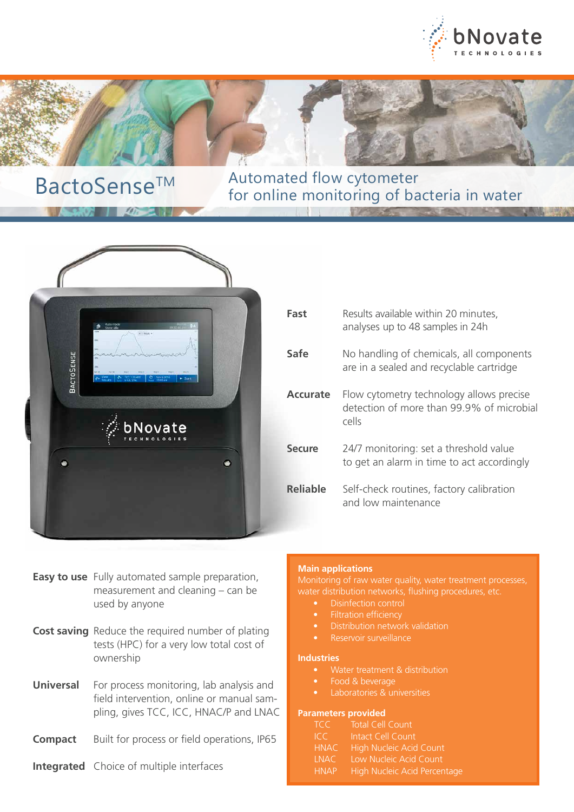



 $-407$   $402$ 

BactoSense<sup>TM</sup> Automated flow cytometer for online monitoring of bacteria in water



- **Easy to use** Fully automated sample preparation, measurement and cleaning – can be used by anyone
- **Cost saving** Reduce the required number of plating tests (HPC) for a very low total cost of ownership
- **Universal** For process monitoring, lab analysis and field intervention, online or manual sampling, gives TCC, ICC, HNAC/P and LNAC
- **Compact** Built for process or field operations, IP65
- **Integrated** Choice of multiple interfaces

# **Main applications**

Monitoring of raw water quality, water treatment processes,

- Disinfection control
- Filtration efficiency
- 
- Reservoir surveillance

### **Industries**

- 
- Food & beverage
- Laboratories & universities

### **Parameters provided**

| <b>TCC</b>  | Total Cell Count             |
|-------------|------------------------------|
| TC          | Intact Cell Count            |
| <b>HNAC</b> | High Nucleic Acid Count      |
| INAC        | Low Nucleic Acid Count       |
| <b>HNAP</b> | High Nucleic Acid Percentage |